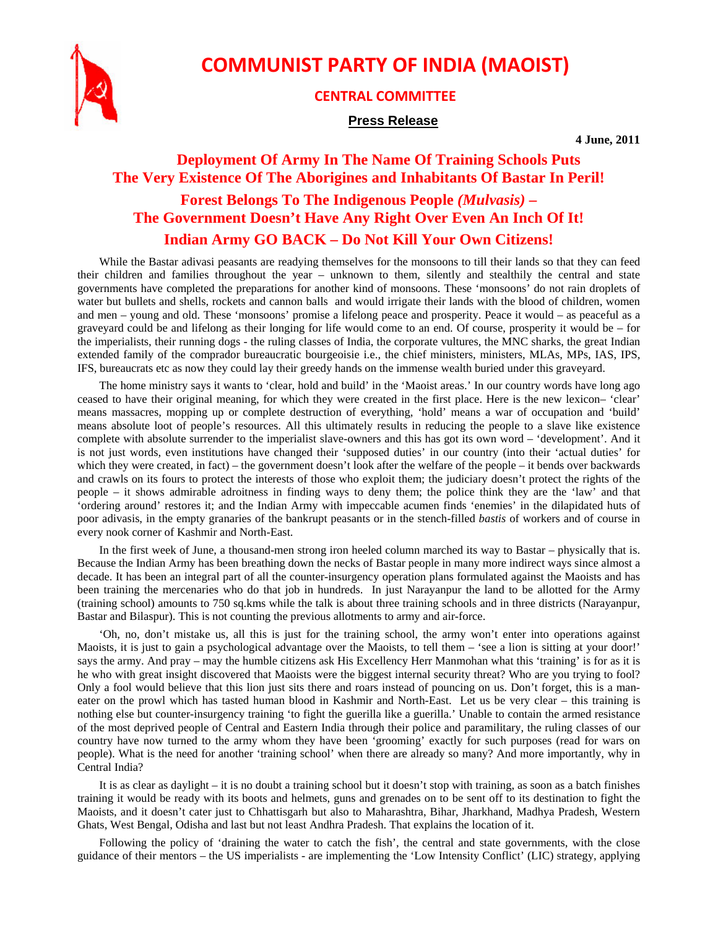

## **COMMUNIST PARTY OF INDIA (MAOIST)**

## **CENTRAL COMMITTEE**

## **Press Release**

**4 June, 2011** 

## **Deployment Of Army In The Name Of Training Schools Puts The Very Existence Of The Aborigines and Inhabitants Of Bastar In Peril! Forest Belongs To The Indigenous People** *(Mulvasis)* **– The Government Doesn't Have Any Right Over Even An Inch Of It! Indian Army GO BACK – Do Not Kill Your Own Citizens!**

While the Bastar adivasi peasants are readying themselves for the monsoons to till their lands so that they can feed their children and families throughout the year – unknown to them, silently and stealthily the central and state governments have completed the preparations for another kind of monsoons. These 'monsoons' do not rain droplets of water but bullets and shells, rockets and cannon balls and would irrigate their lands with the blood of children, women and men – young and old. These 'monsoons' promise a lifelong peace and prosperity. Peace it would – as peaceful as a graveyard could be and lifelong as their longing for life would come to an end. Of course, prosperity it would be – for the imperialists, their running dogs - the ruling classes of India, the corporate vultures, the MNC sharks, the great Indian extended family of the comprador bureaucratic bourgeoisie i.e., the chief ministers, ministers, MLAs, MPs, IAS, IPS, IFS, bureaucrats etc as now they could lay their greedy hands on the immense wealth buried under this graveyard.

The home ministry says it wants to 'clear, hold and build' in the 'Maoist areas.' In our country words have long ago ceased to have their original meaning, for which they were created in the first place. Here is the new lexicon– 'clear' means massacres, mopping up or complete destruction of everything, 'hold' means a war of occupation and 'build' means absolute loot of people's resources. All this ultimately results in reducing the people to a slave like existence complete with absolute surrender to the imperialist slave-owners and this has got its own word – 'development'. And it is not just words, even institutions have changed their 'supposed duties' in our country (into their 'actual duties' for which they were created, in fact) – the government doesn't look after the welfare of the people – it bends over backwards and crawls on its fours to protect the interests of those who exploit them; the judiciary doesn't protect the rights of the people – it shows admirable adroitness in finding ways to deny them; the police think they are the 'law' and that 'ordering around' restores it; and the Indian Army with impeccable acumen finds 'enemies' in the dilapidated huts of poor adivasis, in the empty granaries of the bankrupt peasants or in the stench-filled *bastis* of workers and of course in every nook corner of Kashmir and North-East.

In the first week of June, a thousand-men strong iron heeled column marched its way to Bastar – physically that is. Because the Indian Army has been breathing down the necks of Bastar people in many more indirect ways since almost a decade. It has been an integral part of all the counter-insurgency operation plans formulated against the Maoists and has been training the mercenaries who do that job in hundreds. In just Narayanpur the land to be allotted for the Army (training school) amounts to 750 sq.kms while the talk is about three training schools and in three districts (Narayanpur, Bastar and Bilaspur). This is not counting the previous allotments to army and air-force.

'Oh, no, don't mistake us, all this is just for the training school, the army won't enter into operations against Maoists, it is just to gain a psychological advantage over the Maoists, to tell them – 'see a lion is sitting at your door!' says the army. And pray – may the humble citizens ask His Excellency Herr Manmohan what this 'training' is for as it is he who with great insight discovered that Maoists were the biggest internal security threat? Who are you trying to fool? Only a fool would believe that this lion just sits there and roars instead of pouncing on us. Don't forget, this is a maneater on the prowl which has tasted human blood in Kashmir and North-East. Let us be very clear – this training is nothing else but counter-insurgency training 'to fight the guerilla like a guerilla.' Unable to contain the armed resistance of the most deprived people of Central and Eastern India through their police and paramilitary, the ruling classes of our country have now turned to the army whom they have been 'grooming' exactly for such purposes (read for wars on people). What is the need for another 'training school' when there are already so many? And more importantly, why in Central India?

It is as clear as daylight – it is no doubt a training school but it doesn't stop with training, as soon as a batch finishes training it would be ready with its boots and helmets, guns and grenades on to be sent off to its destination to fight the Maoists, and it doesn't cater just to Chhattisgarh but also to Maharashtra, Bihar, Jharkhand, Madhya Pradesh, Western Ghats, West Bengal, Odisha and last but not least Andhra Pradesh. That explains the location of it.

Following the policy of 'draining the water to catch the fish', the central and state governments, with the close guidance of their mentors – the US imperialists - are implementing the 'Low Intensity Conflict' (LIC) strategy, applying